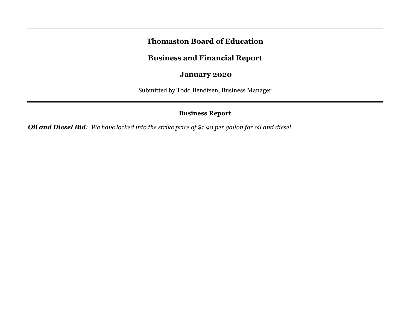# **Thomaston Board of Education**

# **Business and Financial Report**

## **January 2020**

Submitted by Todd Bendtsen, Business Manager

## **Business Report**

*Oil and Diesel Bid: We have locked into the strike price of \$1.90 per gallon for oil and diesel.*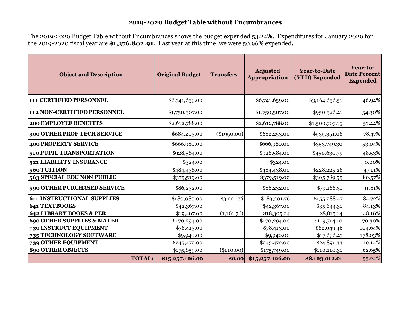### *20***19-2020 Budget Table without Encumbrances**

The 2019-2020 Budget Table without Encumbrances shows the budget expended 53.24**%**. Expenditures for January 2020 for the 2019-2020 fiscal year are **\$1,376,802.91.** Last year at this time, we were 50.96% expended**.**

| <b>Object and Description</b>         | <b>Original Budget</b> | <b>Transfers</b> | <b>Adjusted</b><br>Appropriation | <b>Year-to-Date</b><br>(YTD) Expended | Year-to-<br><b>Date Percent</b><br><b>Expended</b> |  |
|---------------------------------------|------------------------|------------------|----------------------------------|---------------------------------------|----------------------------------------------------|--|
| 111 CERTIFIED PERSONNEL               | \$6,741,659.00         |                  | \$6,741,659.00                   | \$3,164,656.51                        | 46.94%                                             |  |
| 112 NON-CERTIFIED PERSONNEL           | \$1,750,507.00         |                  | \$1,750,507.00                   | \$950,526.41                          | 54.30%                                             |  |
| <b>200 EMPLOYEE BENEFITS</b>          | \$2,612,788.00         |                  | \$2,612,788.00                   | \$1,500,707.15                        | 57.44%                                             |  |
| 300 OTHER PROF TECH SERVICE           | \$684,203.00           | $(\$1950.00)$    | \$682,253.00                     | \$535,351.08                          | 78.47%                                             |  |
| <b>400 PROPERTY SERVICE</b>           | \$666,980.00           |                  | \$666,980.00                     | \$353,749.30                          | 53.04%                                             |  |
| 510 PUPIL TRANSPORTATION              | \$928,584.00           |                  | \$928,584.00                     | \$450,630.79                          | 48.53%                                             |  |
| 521 LIABILITY INSURANCE               | \$324.00               |                  | \$324.00                         |                                       | 0.00%                                              |  |
| 560 TUITION                           | \$484,438.00           |                  | \$484,438.00                     | \$228,225.28                          | 47.11%                                             |  |
| 563 SPECIAL EDU NON PUBLIC            | \$379,519.00           |                  | \$379,519.00                     | \$305,789.59                          | 80.57%                                             |  |
| 590 OTHER PURCHASED SERVICE           | \$86,232.00            |                  | \$86,232.00                      | \$79,166.31                           | 91.81%                                             |  |
| <b>611 INSTRUCTIONAL SUPPLIES</b>     | \$180,080.00           | \$3,221.76       | \$183,301.76                     | \$155,288.47                          | 84.72%                                             |  |
| 641 TEXTBOOKS                         | \$42,367.00            |                  | \$42,367.00                      | \$35,644.31                           | 84.13%                                             |  |
| 642 LIBRARY BOOKS & PER               | \$19,467.00            | (1,161.76)       | \$18,305.24                      | \$8,815.14                            | 48.16%                                             |  |
| <b>690 OTHER SUPPLIES &amp; MATER</b> | \$170,294.00           |                  | \$170,294.00                     | \$119,714.10                          | 70.30%                                             |  |
| 730 INSTRUCT EQUIPMENT                | \$78,413.00            |                  | \$78,413.00                      | \$82,049.46                           | 104.64%                                            |  |
| 735 TECHNOLOGY SOFTWARE               | \$9,940.00             |                  | \$9,940.00                       | \$17,696.47                           | 178.03%                                            |  |
| 739 OTHER EQUIPMENT                   | \$245,472.00           |                  | \$245,472.00                     | \$24,891.33                           | 10.14%                                             |  |
| <b>890 OTHER OBJECTS</b>              | \$175,859.00           | $(\$110.00)$     | \$175,749.00                     | \$110,110.31                          | 62.65%                                             |  |
| <b>TOTAL:</b>                         | \$15,257,126.00        | \$0.00           | \$15,257,126.00                  | \$8,123,012.01                        | 53.24%                                             |  |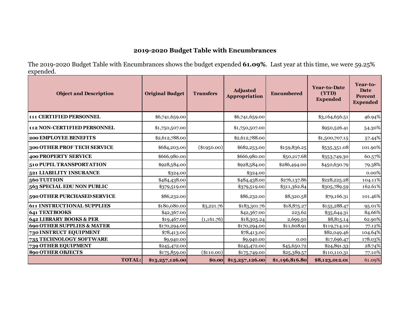# **2019-2020 Budget Table with Encumbrances**

The 2019-2020 Budget Table with Encumbrances shows the budget expended **61.09%**. Last year at this time, we were 59.25% expended.

| <b>Object and Description</b>         |               | <b>Original Budget</b> | <b>Transfers</b> | Adjusted<br>Appropriation | Encumbered     | <b>Year-to-Date</b><br>(YTD)<br><b>Expended</b> | Year-to-<br>Date<br>Percent<br><b>Expended</b> |
|---------------------------------------|---------------|------------------------|------------------|---------------------------|----------------|-------------------------------------------------|------------------------------------------------|
| 111 CERTIFIED PERSONNEL               |               | \$6,741,659.00         |                  | \$6,741,659.00            |                | \$3,164,656.51                                  | 46.94%                                         |
| 112 NON-CERTIFIED PERSONNEL           |               | \$1,750,507.00         |                  | \$1,750,507.00            |                | \$950,526.41                                    | 54.30%                                         |
| 200 EMPLOYEE BENEFITS                 |               | \$2,612,788.00         |                  | \$2,612,788.00            |                | \$1,500,707.15                                  | 57.44%                                         |
| 300 OTHER PROF TECH SERVICE           |               | \$684,203.00           | $(\$1950.00)$    | \$682,253.00              | \$159,836.25   | \$535,351.08                                    | 101.90%                                        |
| <b>400 PROPERTY SERVICE</b>           |               | \$666,980.00           |                  | \$666,980.00              | \$50,217.68    | \$353,749.30                                    | 60.57%                                         |
| <b>510 PUPIL TRANSPORTATION</b>       |               | \$928,584.00           |                  | \$928,584.00              | \$286,494.00   | \$450,630.79                                    | 79.38%                                         |
| 521 LIABILITY INSURANCE               |               | \$324.00               |                  | \$324.00                  |                |                                                 | 0.00%                                          |
| 560 TUITION                           |               | \$484,438.00           |                  | \$484,438.00              | \$276,137.86   | \$228,225.28                                    | 104.11%                                        |
| 563 SPECIAL EDU NON PUBLIC            |               | \$379,519.00           |                  | \$379,519.00              | \$311,362.84   | \$305,789.59                                    | 162.61%                                        |
| 590 OTHER PURCHASED SERVICE           |               | \$86,232.00            |                  | \$86,232.00               | \$8,320.58     | \$79,166.31                                     | 101.46%                                        |
| <b>611 INSTRUCTIONAL SUPPLIES</b>     |               | \$180,080.00           | \$3,221.76       | \$183,301.76              | \$18,875.27    | \$155,288.47                                    | 95.01%                                         |
| <b>641 TEXTBOOKS</b>                  |               | \$42,367.00            |                  | \$42,367.00               | 223.62         | \$35,644.31                                     | 84.66%                                         |
| 642 LIBRARY BOOKS & PER               |               | \$19,467.00            | (1,161.76)       | \$18,305.24               | 2,699.50       | \$8,815.14                                      | 62.90%                                         |
| <b>690 OTHER SUPPLIES &amp; MATER</b> |               | \$170,294.00           |                  | \$170,294.00              | \$11,608.91    | \$119,714.10                                    | 77.12%                                         |
| <b>730 INSTRUCT EQUIPMENT</b>         |               | \$78,413.00            |                  | \$78,413.00               |                | \$82,049.46                                     | 104.64%                                        |
| 735 TECHNOLOGY SOFTWARE               |               | \$9,940.00             |                  | \$9,940.00                | 0.00           | \$17,696.47                                     | 178.03%                                        |
| 739 OTHER EQUIPMENT                   |               | \$245,472.00           |                  | \$245,472.00              | \$45,650.72    | \$24,891.33                                     | 28.74%                                         |
| <b>890 OTHER OBJECTS</b>              |               | \$175,859.00           | (\$110.00)       | \$175,749.00              | \$25,389.57    | \$110,110.31                                    | 77.10%                                         |
|                                       | <b>TOTAL:</b> | \$15,257,126.00        | \$0.00           | \$15,257,126.00           | \$1,196,816.80 | \$8,123,012.01                                  | 61.09%                                         |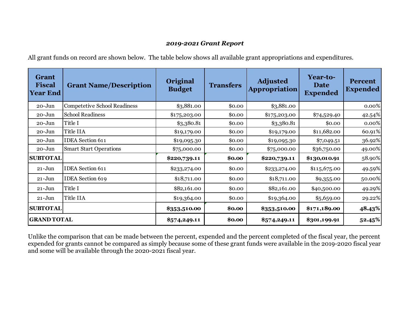### *2019-2021 Grant Report*

All grant funds on record are shown below. The table below shows all available grant appropriations and expenditures.

| <b>Grant</b><br><b>Fiscal</b><br><b>Year End</b> | <b>Grant Name/Description</b>       | Original<br><b>Budget</b> | <b>Transfers</b> | <b>Adjusted</b><br>Appropriation | Year-to-<br><b>Date</b><br><b>Expended</b> | <b>Percent</b><br><b>Expended</b> |  |
|--------------------------------------------------|-------------------------------------|---------------------------|------------------|----------------------------------|--------------------------------------------|-----------------------------------|--|
| 20-Jun                                           | <b>Competetive School Readiness</b> | \$3,881.00                | \$0.00           | \$3,881.00                       |                                            | $0.00\%$                          |  |
| $20 - Jun$                                       | <b>School Readiness</b>             | \$175,203.00              | \$0.00           | \$175,203.00                     | \$74,529.40                                | 42.54%                            |  |
| $20 - Jun$                                       | Title I                             | \$3,380.81                | \$0.00           | \$3,380.81                       | \$0.00                                     | 0.00%                             |  |
| $20 - Jun$                                       | Title IIA                           | \$19,179.00               | \$0.00           | \$19,179.00                      | \$11,682.00                                | 60.91%                            |  |
| $20 - Jun$                                       | <b>IDEA</b> Section 611             | \$19,095.30               | \$0.00           | \$19,095.30                      | \$7,049.51                                 | 36.92%                            |  |
| $20 - Jun$                                       | <b>Smart Start Operations</b>       | \$75,000.00               | \$0.00           | \$75,000.00                      | \$36,750.00                                | 49.00%                            |  |
| <b>SUBTOTAL</b>                                  |                                     | \$220,739.11              | \$0.00           | \$220,739.11                     | \$130,010.91                               | 58.90%                            |  |
| $21 - Jun$                                       | <b>IDEA</b> Section 611             | \$233,274.00              | \$0.00           | \$233,274.00                     | \$115,675.00                               | 49.59%                            |  |
| $21 - Jun$                                       | <b>IDEA</b> Section 619             | \$18,711.00               | \$0.00           | \$18,711.00                      | \$9,355.00                                 | 50.00%                            |  |
| $21 - Jun$                                       | Title I                             | \$82,161.00               | \$0.00           | \$82,161.00                      | \$40,500.00                                | 49.29%                            |  |
| $21 - Jun$                                       | Title IIA                           | \$19,364.00               | \$0.00           | \$19,364.00                      | \$5,659.00                                 | 29.22%                            |  |
| <b>SUBTOTAL</b>                                  |                                     | \$353,510.00              | \$0.00           | \$353,510.00                     | \$171,189.00                               | 48.43%                            |  |
| <b>GRAND TOTAL</b>                               |                                     | \$574,249.11              | \$0.00           | \$574,249.11                     | \$301,199.91                               | 52.45%                            |  |

Unlike the comparison that can be made between the percent, expended and the percent completed of the fiscal year, the percent expended for grants cannot be compared as simply because some of these grant funds were available in the 2019-2020 fiscal year and some will be available through the 2020-2021 fiscal year.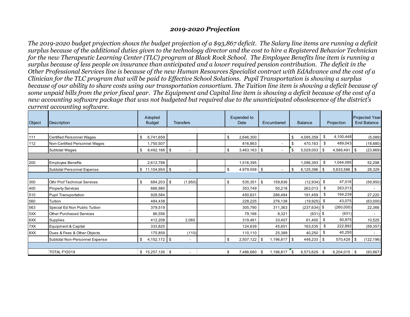### *2019-2020 Projection*

*The 2019-2020 budget projection shows the budget projection of a \$93,867 deficit. The Salary line items are running a deficit surplus because of the additional duties given to the technology director and the cost to hire a Registered Behavior Technician for the new Therapeutic Learning Center (TLC) program at Black Rock School. The Employee Benefits line item is running a surplus because of less people on insurance than anticipated and a lower required pension contribution. The deficit in the Other Professional Services line is because of the new Human Resources Specialist contract with EdAdvance and the cost of a Clinician for the TLC program that will be paid to Effective School Solutions. Pupil Transportation is showing a surplus because of our ability to share costs using our transportation consortium. The Tuition line item is showing a deficit because of some unpaid bills from the prior fiscal year. The Equipment and Capital line item is showing a deficit because of the cost of a new accounting software package that was not budgeted but required due to the unanticipated obsolescence of the district's current accounting software.*

| Object | <b>Description</b>                  | Adopted<br><b>Budget</b> | <b>Transfers</b>         |  | Expended to<br>Date |           | Encumbered           | <b>Balance</b> |                 | Projection |                 | Projected Year-<br><b>End Balance</b> |            |
|--------|-------------------------------------|--------------------------|--------------------------|--|---------------------|-----------|----------------------|----------------|-----------------|------------|-----------------|---------------------------------------|------------|
|        |                                     |                          |                          |  |                     |           |                      |                |                 |            |                 |                                       |            |
| 111    | Certified Personnel Wages           | 6,741,659<br>\$          |                          |  | \$                  | 2,646,300 |                      | \$             | 4,095,359       | \$         | 4,100,448       |                                       | (5,089)    |
| 112    | Non-Certified Personnel Wages       | 1,750,507                |                          |  |                     | 816,863   |                      | \$             | 470.163         | \$         | 489,043         |                                       | (18, 880)  |
|        | <b>Subtotal Wages</b>               | 8,492,166 \$<br>\$       | $\blacksquare$           |  | \$                  | 3,463,163 | $\sqrt{3}$           | \$             | 5,029,003       | \$         | $4,589,491$ \$  |                                       | (23,969)   |
|        |                                     |                          |                          |  |                     |           |                      |                |                 |            |                 |                                       |            |
| 200    | <b>Employee Benefits</b>            | 2,612,788                |                          |  |                     | 1,516,395 |                      |                | 1,096,393       | \$         | 1,044,095       |                                       | 52,298     |
|        | Subtotal Personnel Expense          | $$11,104,954$ \\ \$      | $\blacksquare$           |  | \$                  | 4,979,558 | l \$                 | \$             | 6,125,396       | \$         | $5,633,586$ \\$ |                                       | 28,329     |
|        |                                     |                          |                          |  |                     |           |                      |                |                 |            |                 |                                       |            |
| 300    | <b>Othr Prof Technical Services</b> | 684,203<br>\$            | \$<br>(1,950)            |  | \$                  | 535,351   | \$<br>159,836        |                | $(12,934)$ \$   |            | 47.016          |                                       | (59, 950)  |
| 400    | <b>Property Services</b>            | 666,980                  |                          |  |                     | 353,749   | 50,218               |                | 263,013         | \$         | 263,013         |                                       |            |
| 510    | Pupil Transportation                | 928.584                  |                          |  |                     | 450,631   | 286,494              |                | 191.459         | \$         | 164,239         |                                       | 27,220     |
| 560    | Tuition                             | 484,438                  |                          |  |                     | 228,225   | 276,138              |                | $(19,925)$ \$   |            | 43,075          |                                       | (63,000)   |
| 563    | Special Ed Non Public Tuition       | 379,519                  |                          |  |                     | 305,790   | 311.363              |                | $(237, 634)$ \$ |            | (260,000)       |                                       | 22,366     |
| 5XX    | <b>Other Purchased Services</b>     | 86,556                   |                          |  |                     | 79,166    | 8,321                |                | $(931)$ \$      |            | (931)           |                                       |            |
| 6XX    | <b>Supplies</b>                     | 412,208                  | 2,060                    |  |                     | 319,461   | 33,407               |                | 61,400          | \$         | 50,875          |                                       | 10,525     |
| 7XX    | Equipment & Capital                 | 333,825                  |                          |  |                     | 124,639   | 45,651               |                | 163,535         | \$         | 222,892         |                                       | (59, 357)  |
| 8XX    | Dues & Fees & Other Objects         | 175,859                  | (110)                    |  |                     | 110.110   | 25,389               |                | 40,250          | \$         | 40,250          |                                       |            |
|        | Subtotal Non-Personnel Expense      | $4,152,172$ \$<br>\$     | $\blacksquare$           |  | \$                  | 2,507,122 | .196.817<br><b>S</b> | l \$           | 448,233         | \$         | 570,429         | \$                                    | (122, 196) |
|        |                                     |                          |                          |  |                     |           |                      |                |                 |            |                 |                                       |            |
|        | TOTAL FY2019                        | $$15,257,126$ \\$        | $\overline{\phantom{a}}$ |  | \$                  | 7.486.680 | 1.196.817<br>∣\$     | ∣\$.           | $6.573.629$ \$  |            | $6.204.015$ \$  |                                       | (93, 867)  |